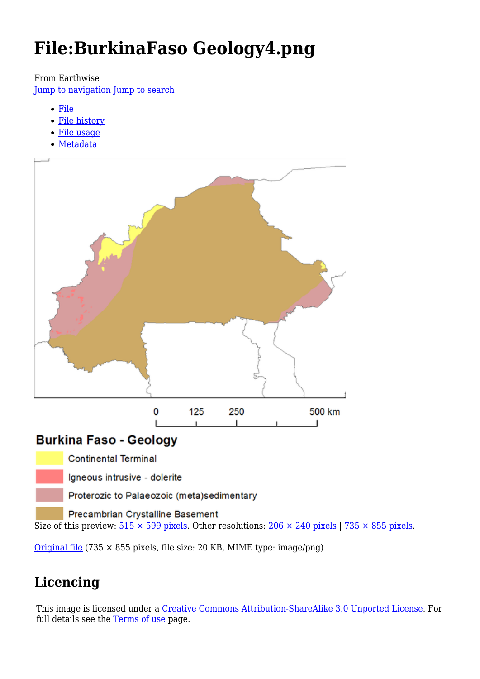# **File:BurkinaFaso Geology4.png**

From Earthwise

[Jump to navigation](#page--1-0) [Jump to search](#page--1-0)

- [File](#page--1-0)
- [File history](#page--1-0)
- [File usage](#page--1-0)
- [Metadata](#page--1-0)



### **Burkina Faso - Geology**

**Continental Terminal** 

Igneous intrusive - dolerite

Proterozic to Palaeozoic (meta)sedimentary

Precambrian Crystalline Basement

Size of this preview:  $515 \times 599$  pixels. Other resolutions:  $206 \times 240$  pixels | 735  $\times$  855 pixels.

[Original file](http://earthwise.bgs.ac.uk/images/2/2b/BurkinaFaso_Geology4.png) (735 × 855 pixels, file size: 20 KB, MIME type: image/png)

## **Licencing**

This image is licensed under a [Creative Commons Attribution-ShareAlike 3.0 Unported License.](https://creativecommons.org/licenses/by-sa/3.0/) For full details see the [Terms of use](http://earthwise.bgs.ac.uk/index.php/Africa_Groundwater_Atlas_Terms_of_Use) page.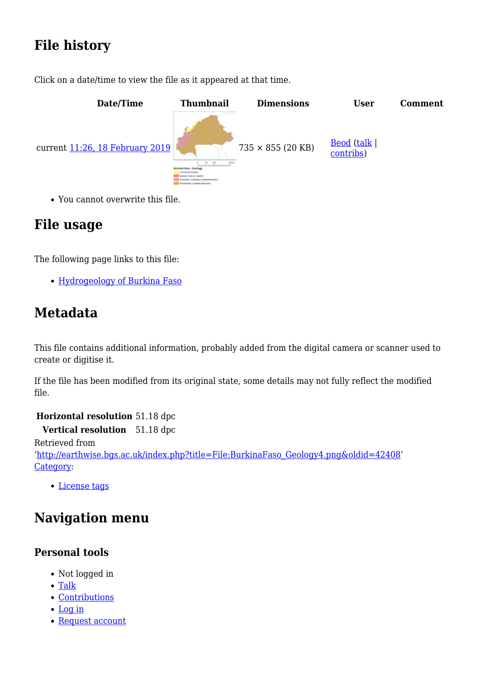## **File history**

Click on a date/time to view the file as it appeared at that time.



You cannot overwrite this file.

### **File usage**

The following page links to this file:

• [Hydrogeology of Burkina Faso](http://earthwise.bgs.ac.uk/index.php/Hydrogeology_of_Burkina_Faso)

### **Metadata**

This file contains additional information, probably added from the digital camera or scanner used to create or digitise it.

If the file has been modified from its original state, some details may not fully reflect the modified file.

**Horizontal resolution** 51.18 dpc **Vertical resolution** 51.18 dpc Retrieved from '[http://earthwise.bgs.ac.uk/index.php?title=File:BurkinaFaso\\_Geology4.png&oldid=42408](http://earthwise.bgs.ac.uk/index.php?title=File:BurkinaFaso_Geology4.png&oldid=42408)' [Category](http://earthwise.bgs.ac.uk/index.php/Special:Categories):

• [License tags](http://earthwise.bgs.ac.uk/index.php/Category:License_tags)

## **Navigation menu**

#### **Personal tools**

- Not logged in
- [Talk](http://earthwise.bgs.ac.uk/index.php/Special:MyTalk)
- [Contributions](http://earthwise.bgs.ac.uk/index.php/Special:MyContributions)
- [Log in](http://earthwise.bgs.ac.uk/index.php?title=Special:UserLogin&returnto=File%3ABurkinaFaso+Geology4.png&returntoquery=action%3Dmpdf)
- [Request account](http://earthwise.bgs.ac.uk/index.php/Special:RequestAccount)